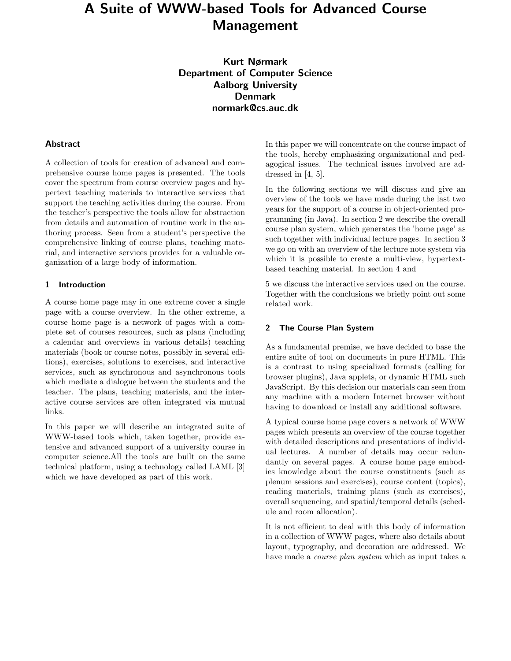# A Suite of WWW-based Tools for Advanced Course Management

Kurt Nørmark Department of Computer Science Aalborg University Denmark normark@cs.auc.dk

# **Abstract**

A collection of tools for creation of advanced and comprehensive course home pages is presented. The tools cover the spectrum from course overview pages and hypertext teaching materials to interactive services that support the teaching activities during the course. From the teacher's perspective the tools allow for abstraction from details and automation of routine work in the authoring process. Seen from a student's perspective the comprehensive linking of course plans, teaching material, and interactive services provides for a valuable organization of a large body of information.

#### 1 Introduction

A course home page may in one extreme cover a single page with a course overview. In the other extreme, a course home page is a network of pages with a complete set of courses resources, such as plans (including a calendar and overviews in various details) teaching materials (book or course notes, possibly in several editions), exercises, solutions to exercises, and interactive services, such as synchronous and asynchronous tools which mediate a dialogue between the students and the teacher. The plans, teaching materials, and the interactive course services are often integrated via mutual links.

In this paper we will describe an integrated suite of WWW-based tools which, taken together, provide extensive and advanced support of a university course in computer science.All the tools are built on the same technical platform, using a technology called LAML [3] which we have developed as part of this work.

In this paper we will concentrate on the course impact of the tools, hereby emphasizing organizational and pedagogical issues. The technical issues involved are addressed in [4, 5].

In the following sections we will discuss and give an overview of the tools we have made during the last two years for the support of a course in object-oriented programming (in Java). In section 2 we describe the overall course plan system, which generates the 'home page' as such together with individual lecture pages. In section 3 we go on with an overview of the lecture note system via which it is possible to create a multi-view, hypertextbased teaching material. In section 4 and

5 we discuss the interactive services used on the course. Together with the conclusions we briefly point out some related work.

#### 2 The Course Plan System

As a fundamental premise, we have decided to base the entire suite of tool on documents in pure HTML. This is a contrast to using specialized formats (calling for browser plugins), Java applets, or dynamic HTML such JavaScript. By this decision our materials can seen from any machine with a modern Internet browser without having to download or install any additional software.

A typical course home page covers a network of WWW pages which presents an overview of the course together with detailed descriptions and presentations of individual lectures. A number of details may occur redundantly on several pages. A course home page embodies knowledge about the course constituents (such as plenum sessions and exercises), course content (topics), reading materials, training plans (such as exercises), overall sequencing, and spatial/temporal details (schedule and room allocation).

It is not efficient to deal with this body of information in a collection of WWW pages, where also details about layout, typography, and decoration are addressed. We have made a course plan system which as input takes a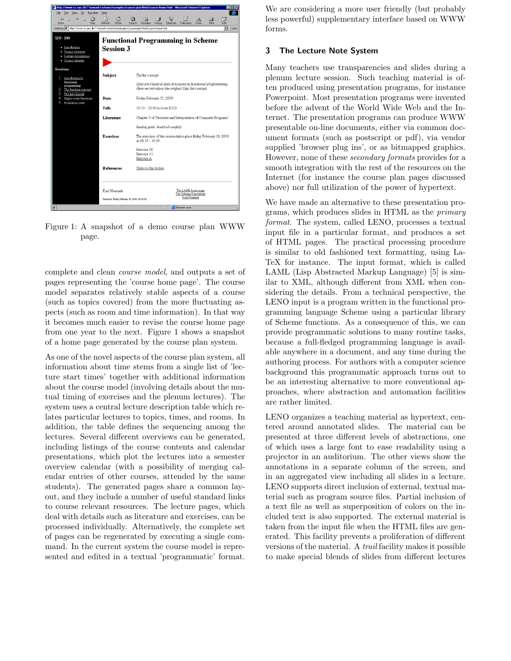

Figure 1: A snapshot of a demo course plan WWW page.

complete and clean course model, and outputs a set of pages representing the 'course home page'. The course model separates relatively stable aspects of a course (such as topics covered) from the more fluctuating aspects (such as room and time information). In that way it becomes much easier to revise the course home page from one year to the next. Figure 1 shows a snapshot of a home page generated by the course plan system.

As one of the novel aspects of the course plan system, all information about time stems from a single list of 'lecture start times' together with additional information about the course model (involving details about the mutual timing of exercises and the plenum lectures). The system uses a central lecture description table which relates particular lectures to topics, times, and rooms. In addition, the table defines the sequencing among the lectures. Several different overviews can be generated, including listings of the course contents and calendar presentations, which plot the lectures into a semester overview calendar (with a possibility of merging calendar entries of other courses, attended by the same students). The generated pages share a common layout, and they include a number of useful standard links to course relevant resources. The lecture pages, which deal with details such as literature and exercises, can be processed individually. Alternatively, the complete set of pages can be regenerated by executing a single command. In the current system the course model is represented and edited in a textual 'programmatic' format.

We are considering a more user friendly (but probably less powerful) supplementary interface based on WWW forms.

# 3 The Lecture Note System

Many teachers use transparencies and slides during a plenum lecture session. Such teaching material is often produced using presentation programs, for instance Powerpoint. Most presentation programs were invented before the advent of the World Wide Web and the Internet. The presentation programs can produce WWW presentable on-line documents, either via common document formats (such as postscript or pdf), via vendor supplied 'browser plug ins', or as bitmapped graphics. However, none of these secondary formats provides for a smooth integration with the rest of the resources on the Internet (for instance the course plan pages discussed above) nor full utilization of the power of hypertext.

We have made an alternative to these presentation programs, which produces slides in HTML as the primary format. The system, called LENO, processes a textual input file in a particular format, and produces a set of HTML pages. The practical processing procedure is similar to old fashioned text formatting, using La-TeX for instance. The input format, which is called LAML (Lisp Abstracted Markup Language) [5] is similar to XML, although different from XML when considering the details. From a technical perspective, the LENO input is a program written in the functional programming language Scheme using a particular library of Scheme functions. As a consequence of this, we can provide programmatic solutions to many routine tasks, because a full-fledged programming language is available anywhere in a document, and any time during the authoring process. For authors with a computer science background this programmatic approach turns out to be an interesting alternative to more conventional approaches, where abstraction and automation facilities are rather limited.

LENO organizes a teaching material as hypertext, centered around annotated slides. The material can be presented at three different levels of abstractions, one of which uses a large font to ease readability using a projector in an auditorium. The other views show the annotations in a separate column of the screen, and in an aggregated view including all slides in a lecture. LENO supports direct inclusion of external, textual material such as program source files. Partial inclusion of a text file as well as superposition of colors on the included text is also supported. The external material is taken from the input file when the HTML files are generated. This facility prevents a proliferation of different versions of the material. A trail facility makes it possible to make special blends of slides from different lectures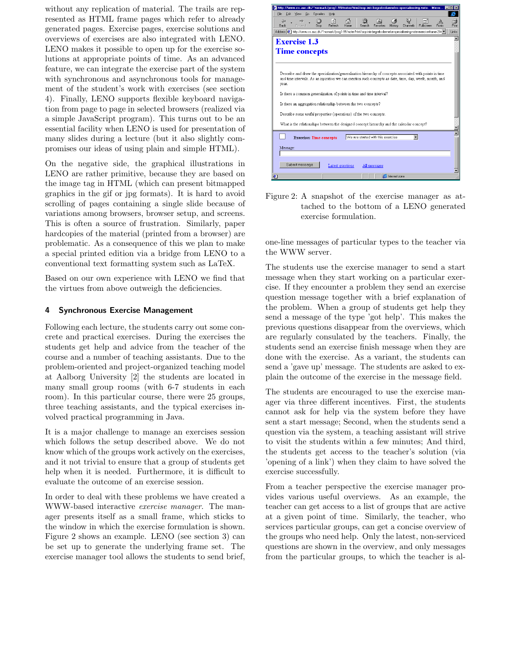without any replication of material. The trails are represented as HTML frame pages which refer to already generated pages. Exercise pages, exercise solutions and overviews of exercises are also integrated with LENO. LENO makes it possible to open up for the exercise solutions at appropriate points of time. As an advanced feature, we can integrate the exercise part of the system with synchronous and asynchronous tools for management of the student's work with exercises (see section 4). Finally, LENO supports flexible keyboard navigation from page to page in selected browsers (realized via a simple JavaScript program). This turns out to be an essential facility when LENO is used for presentation of many slides during a lecture (but it also slightly compromises our ideas of using plain and simple HTML).

On the negative side, the graphical illustrations in LENO are rather primitive, because they are based on the image tag in HTML (which can present bitmapped graphics in the gif or jpg formats). It is hard to avoid scrolling of pages containing a single slide because of variations among browsers, browser setup, and screens. This is often a source of frustration. Similarly, paper hardcopies of the material (printed from a browser) are problematic. As a consequence of this we plan to make a special printed edition via a bridge from LENO to a conventional text formatting system such as LaTeX.

Based on our own experience with LENO we find that the virtues from above outweigh the deficiencies.

## 4 Synchronous Exercise Management

Following each lecture, the students carry out some concrete and practical exercises. During the exercises the students get help and advice from the teacher of the course and a number of teaching assistants. Due to the problem-oriented and project-organized teaching model at Aalborg University [2] the students are located in many small group rooms (with 6-7 students in each room). In this particular course, there were 25 groups, three teaching assistants, and the typical exercises involved practical programming in Java.

It is a major challenge to manage an exercises session which follows the setup described above. We do not know which of the groups work actively on the exercises, and it not trivial to ensure that a group of students get help when it is needed. Furthermore, it is difficult to evaluate the outcome of an exercise session.

In order to deal with these problems we have created a WWW-based interactive exercise manager. The manager presents itself as a small frame, which sticks to the window in which the exercise formulation is shown. Figure 2 shows an example. LENO (see section 3) can be set up to generate the underlying frame set. The exercise manager tool allows the students to send brief,



Figure 2: A snapshot of the exercise manager as attached to the bottom of a LENO generated exercise formulation.

one-line messages of particular types to the teacher via the WWW server.

The students use the exercise manager to send a start message when they start working on a particular exercise. If they encounter a problem they send an exercise question message together with a brief explanation of the problem. When a group of students get help they send a message of the type 'got help'. This makes the previous questions disappear from the overviews, which are regularly consulated by the teachers. Finally, the students send an exercise finish message when they are done with the exercise. As a variant, the students can send a 'gave up' message. The students are asked to explain the outcome of the exercise in the message field.

The students are encouraged to use the exercise manager via three different incentives. First, the students cannot ask for help via the system before they have sent a start message; Second, when the students send a question via the system, a teaching assistant will strive to visit the students within a few minutes; And third, the students get access to the teacher's solution (via 'opening of a link') when they claim to have solved the exercise successfully.

From a teacher perspective the exercise manager provides various useful overviews. As an example, the teacher can get access to a list of groups that are active at a given point of time. Similarly, the teacher, who services particular groups, can get a concise overview of the groups who need help. Only the latest, non-serviced questions are shown in the overview, and only messages from the particular groups, to which the teacher is al